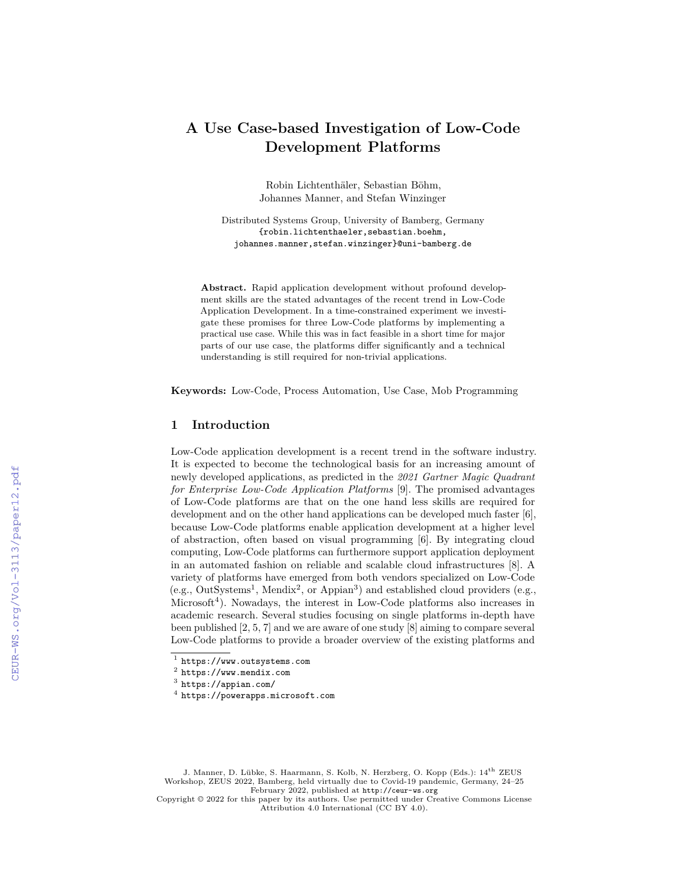# **A Use Case-based Investigation of Low-Code Development Platforms**

Robin Lichtenthäler, Sebastian Böhm, Johannes Manner, and Stefan Winzinger

Distributed Systems Group, University of Bamberg, Germany {robin.lichtenthaeler,sebastian.boehm, johannes.manner,stefan.winzinger}@uni-bamberg.de

**Abstract.** Rapid application development without profound development skills are the stated advantages of the recent trend in Low-Code Application Development. In a time-constrained experiment we investigate these promises for three Low-Code platforms by implementing a practical use case. While this was in fact feasible in a short time for major parts of our use case, the platforms differ significantly and a technical understanding is still required for non-trivial applications.

**Keywords:** Low-Code, Process Automation, Use Case, Mob Programming

### **1 Introduction**

Low-Code application development is a recent trend in the software industry. It is expected to become the technological basis for an increasing amount of newly developed applications, as predicted in the *2021 Gartner Magic Quadrant for Enterprise Low-Code Application Platforms* [9]. The promised advantages of Low-Code platforms are that on the one hand less skills are required for development and on the other hand applications can be developed much faster [6], because Low-Code platforms enable application development at a higher level of abstraction, often based on visual programming [6]. By integrating cloud computing, Low-Code platforms can furthermore support application deployment in an automated fashion on reliable and scalable cloud infrastructures [8]. A variety of platforms have emerged from both vendors specialized on Low-Code  $(e.g., OutSystems<sup>1</sup>, Mendix<sup>2</sup>, or Appian<sup>3</sup>)$  and established cloud providers  $(e.g.,$ Microsoft<sup>4</sup>). Nowadays, the interest in Low-Code platforms also increases in academic research. Several studies focusing on single platforms in-depth have been published [2, 5, 7] and we are aware of one study [8] aiming to compare several Low-Code platforms to provide a broader overview of the existing platforms and

J. Manner, D. Lübke, S. Haarmann, S. Kolb, N. Herzberg, O. Kopp (Eds.): 14th ZEUS Workshop, ZEUS 2022, Bamberg, held virtually due to Covid-19 pandemic, Germany, 24–25 February 2022, published at <http://ceur-ws.org>

Copyright © 2022 for this paper by its authors. Use permitted under Creative Commons License Attribution 4.0 International (CC BY 4.0).

<sup>1</sup> <https://www.outsystems.com>

 $^2$  <https://www.mendix.com>

 $^3$  <https://appian.com/>

<sup>4</sup> <https://powerapps.microsoft.com>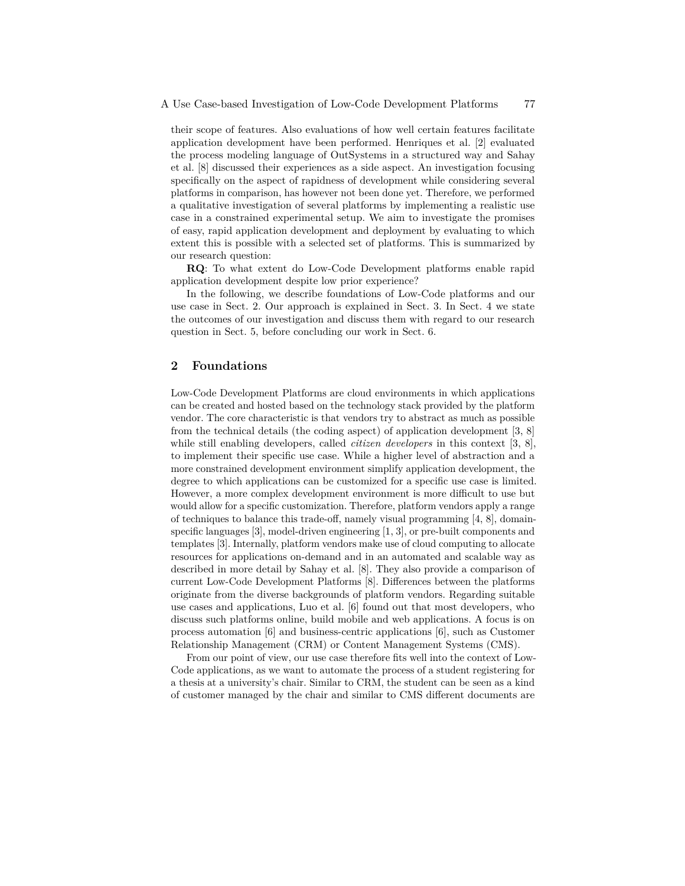their scope of features. Also evaluations of how well certain features facilitate application development have been performed. Henriques et al. [2] evaluated the process modeling language of OutSystems in a structured way and Sahay et al. [8] discussed their experiences as a side aspect. An investigation focusing specifically on the aspect of rapidness of development while considering several platforms in comparison, has however not been done yet. Therefore, we performed a qualitative investigation of several platforms by implementing a realistic use case in a constrained experimental setup. We aim to investigate the promises of easy, rapid application development and deployment by evaluating to which extent this is possible with a selected set of platforms. This is summarized by our research question:

**RQ**: To what extent do Low-Code Development platforms enable rapid application development despite low prior experience?

In the following, we describe foundations of Low-Code platforms and our use case in Sect. 2. Our approach is explained in Sect. 3. In Sect. 4 we state the outcomes of our investigation and discuss them with regard to our research question in Sect. 5, before concluding our work in Sect. 6.

#### **2 Foundations**

Low-Code Development Platforms are cloud environments in which applications can be created and hosted based on the technology stack provided by the platform vendor. The core characteristic is that vendors try to abstract as much as possible from the technical details (the coding aspect) of application development [3, 8] while still enabling developers, called *citizen developers* in this context [3, 8], to implement their specific use case. While a higher level of abstraction and a more constrained development environment simplify application development, the degree to which applications can be customized for a specific use case is limited. However, a more complex development environment is more difficult to use but would allow for a specific customization. Therefore, platform vendors apply a range of techniques to balance this trade-off, namely visual programming  $[4, 8]$ , domainspecific languages [3], model-driven engineering [1, 3], or pre-built components and templates [3]. Internally, platform vendors make use of cloud computing to allocate resources for applications on-demand and in an automated and scalable way as described in more detail by Sahay et al. [8]. They also provide a comparison of current Low-Code Development Platforms [8]. Differences between the platforms originate from the diverse backgrounds of platform vendors. Regarding suitable use cases and applications, Luo et al. [6] found out that most developers, who discuss such platforms online, build mobile and web applications. A focus is on process automation [6] and business-centric applications [6], such as Customer Relationship Management (CRM) or Content Management Systems (CMS).

From our point of view, our use case therefore fits well into the context of Low-Code applications, as we want to automate the process of a student registering for a thesis at a university's chair. Similar to CRM, the student can be seen as a kind of customer managed by the chair and similar to CMS different documents are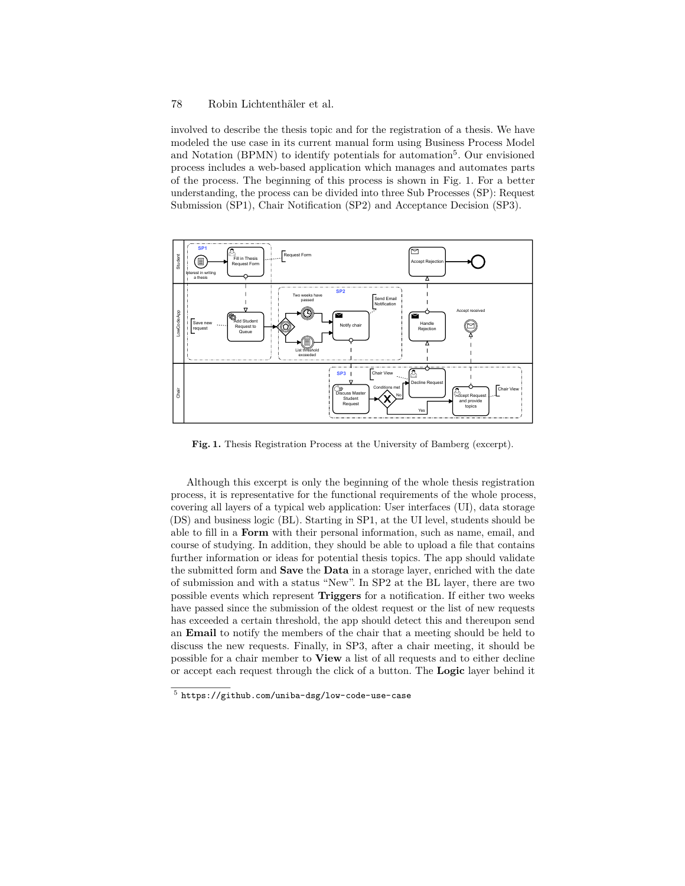#### 78 Robin Lichtenthäler et al.

involved to describe the thesis topic and for the registration of a thesis. We have modeled the use case in its current manual form using Business Process Model and Notation (BPMN) to identify potentials for automation<sup>5</sup>. Our envisioned process includes a web-based application which manages and automates parts of the process. The beginning of this process is shown in Fig. 1. For a better understanding, the process can be divided into three Sub Processes (SP): Request Submission (SP1), Chair Notification (SP2) and Acceptance Decision (SP3).



**Fig. 1.** Thesis Registration Process at the University of Bamberg (excerpt).

Although this excerpt is only the beginning of the whole thesis registration process, it is representative for the functional requirements of the whole process, covering all layers of a typical web application: User interfaces (UI), data storage (DS) and business logic (BL). Starting in SP1, at the UI level, students should be able to fill in a **Form** with their personal information, such as name, email, and course of studying. In addition, they should be able to upload a file that contains further information or ideas for potential thesis topics. The app should validate the submitted form and **Save** the **Data** in a storage layer, enriched with the date of submission and with a status "New". In SP2 at the BL layer, there are two possible events which represent **Triggers** for a notification. If either two weeks have passed since the submission of the oldest request or the list of new requests has exceeded a certain threshold, the app should detect this and thereupon send an **Email** to notify the members of the chair that a meeting should be held to discuss the new requests. Finally, in SP3, after a chair meeting, it should be possible for a chair member to **View** a list of all requests and to either decline or accept each request through the click of a button. The **Logic** layer behind it

 $^5$  <https://github.com/uniba-dsg/low-code-use-case>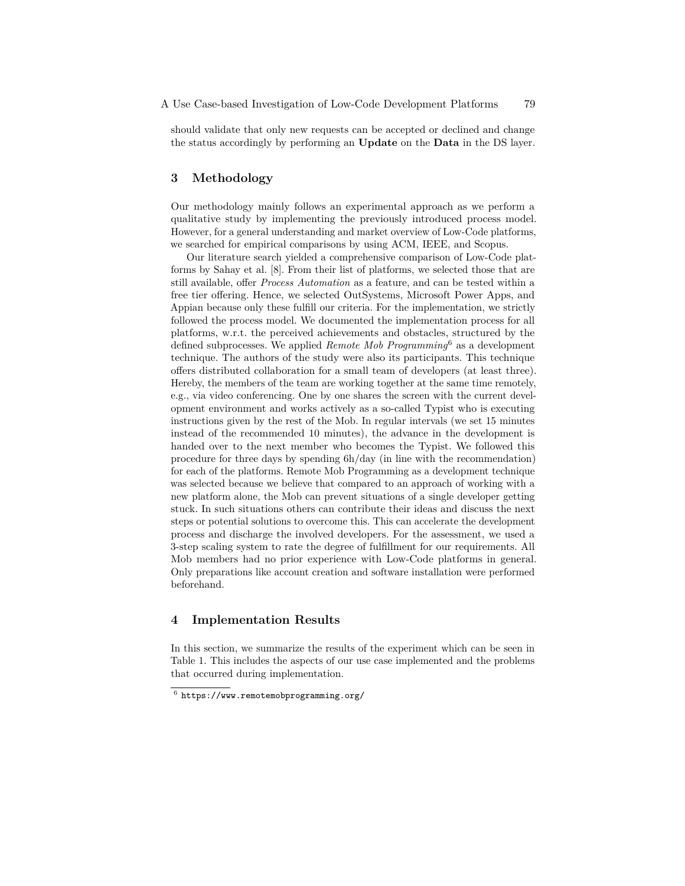should validate that only new requests can be accepted or declined and change the status accordingly by performing an **Update** on the **Data** in the DS layer.

# **3 Methodology**

Our methodology mainly follows an experimental approach as we perform a qualitative study by implementing the previously introduced process model. However, for a general understanding and market overview of Low-Code platforms, we searched for empirical comparisons by using ACM, IEEE, and Scopus.

Our literature search yielded a comprehensive comparison of Low-Code platforms by Sahay et al. [8]. From their list of platforms, we selected those that are still available, offer *Process Automation* as a feature, and can be tested within a free tier offering. Hence, we selected OutSystems, Microsoft Power Apps, and Appian because only these fulfill our criteria. For the implementation, we strictly followed the process model. We documented the implementation process for all platforms, w.r.t. the perceived achievements and obstacles, structured by the defined subprocesses. We applied *Remote Mob Programming*6 as a development technique. The authors of the study were also its participants. This technique offers distributed collaboration for a small team of developers (at least three). Hereby, the members of the team are working together at the same time remotely, e.g., via video conferencing. One by one shares the screen with the current development environment and works actively as a so-called Typist who is executing instructions given by the rest of the Mob. In regular intervals (we set 15 minutes instead of the recommended 10 minutes), the advance in the development is handed over to the next member who becomes the Typist. We followed this procedure for three days by spending 6h/day (in line with the recommendation) for each of the platforms. Remote Mob Programming as a development technique was selected because we believe that compared to an approach of working with a new platform alone, the Mob can prevent situations of a single developer getting stuck. In such situations others can contribute their ideas and discuss the next steps or potential solutions to overcome this. This can accelerate the development process and discharge the involved developers. For the assessment, we used a 3-step scaling system to rate the degree of fulfillment for our requirements. All Mob members had no prior experience with Low-Code platforms in general. Only preparations like account creation and software installation were performed beforehand.

## **4 Implementation Results**

In this section, we summarize the results of the experiment which can be seen in Table 1. This includes the aspects of our use case implemented and the problems that occurred during implementation.

 $^6$  <https://www.remotemobprogramming.org/>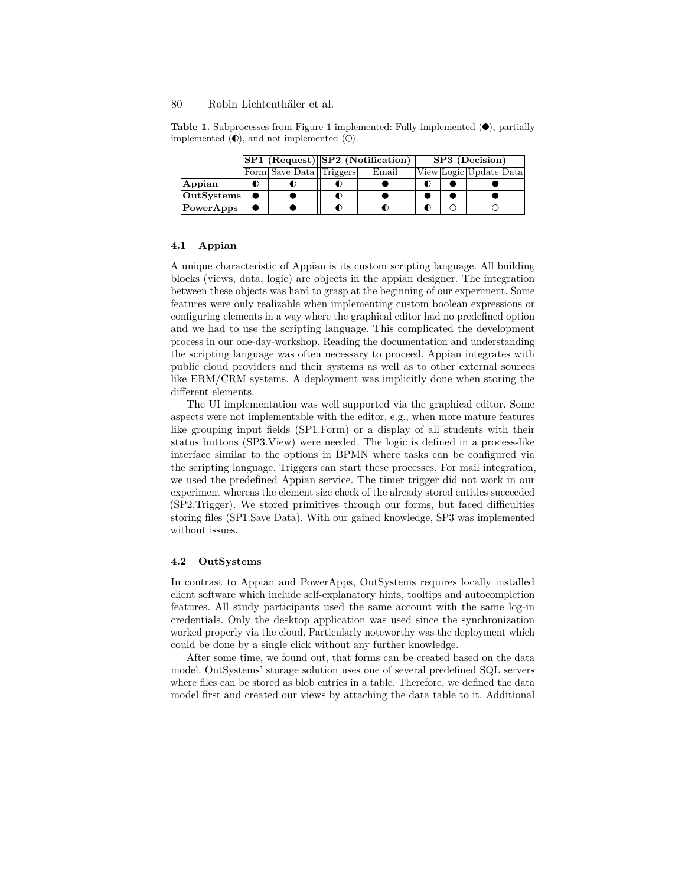#### 80 Robin Lichtenthäler et al.

**Table 1.** Subprocesses from Figure 1 implemented: Fully implemented  $(\bullet)$ , partially implemented  $(0)$ , and not implemented  $(0)$ .

|            |  |                         | SP1 (Request) SP2 (Notification) |       | SP3 (Decision) |  |                        |
|------------|--|-------------------------|----------------------------------|-------|----------------|--|------------------------|
|            |  | Form Save Data Triggers |                                  | Email |                |  | View Logic Update Data |
| Appian     |  |                         |                                  |       | D              |  |                        |
| OutSystems |  |                         |                                  |       |                |  |                        |
| PowerApps  |  |                         |                                  |       |                |  |                        |

#### **4.1 Appian**

A unique characteristic of Appian is its custom scripting language. All building blocks (views, data, logic) are objects in the appian designer. The integration between these objects was hard to grasp at the beginning of our experiment. Some features were only realizable when implementing custom boolean expressions or configuring elements in a way where the graphical editor had no predefined option and we had to use the scripting language. This complicated the development process in our one-day-workshop. Reading the documentation and understanding the scripting language was often necessary to proceed. Appian integrates with public cloud providers and their systems as well as to other external sources like ERM/CRM systems. A deployment was implicitly done when storing the different elements.

The UI implementation was well supported via the graphical editor. Some aspects were not implementable with the editor, e.g., when more mature features like grouping input fields (SP1.Form) or a display of all students with their status buttons (SP3.View) were needed. The logic is defined in a process-like interface similar to the options in BPMN where tasks can be configured via the scripting language. Triggers can start these processes. For mail integration, we used the predefined Appian service. The timer trigger did not work in our experiment whereas the element size check of the already stored entities succeeded (SP2.Trigger). We stored primitives through our forms, but faced difficulties storing files (SP1.Save Data). With our gained knowledge, SP3 was implemented without issues.

#### **4.2 OutSystems**

In contrast to Appian and PowerApps, OutSystems requires locally installed client software which include self-explanatory hints, tooltips and autocompletion features. All study participants used the same account with the same log-in credentials. Only the desktop application was used since the synchronization worked properly via the cloud. Particularly noteworthy was the deployment which could be done by a single click without any further knowledge.

After some time, we found out, that forms can be created based on the data model. OutSystems' storage solution uses one of several predefined SQL servers where files can be stored as blob entries in a table. Therefore, we defined the data model first and created our views by attaching the data table to it. Additional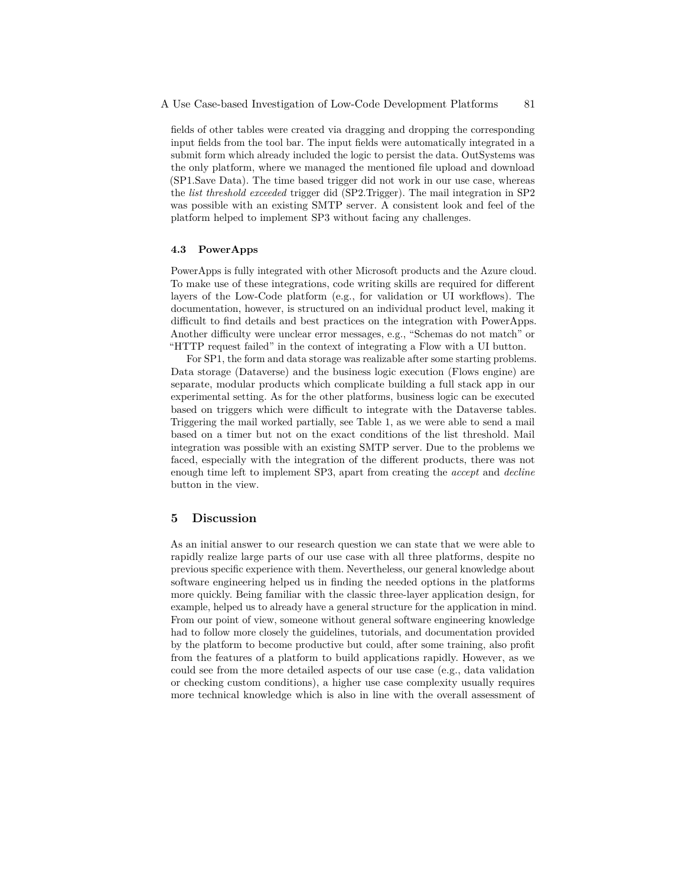fields of other tables were created via dragging and dropping the corresponding input fields from the tool bar. The input fields were automatically integrated in a submit form which already included the logic to persist the data. OutSystems was the only platform, where we managed the mentioned file upload and download (SP1.Save Data). The time based trigger did not work in our use case, whereas the *list threshold exceeded* trigger did (SP2.Trigger). The mail integration in SP2 was possible with an existing SMTP server. A consistent look and feel of the platform helped to implement SP3 without facing any challenges.

#### **4.3 PowerApps**

PowerApps is fully integrated with other Microsoft products and the Azure cloud. To make use of these integrations, code writing skills are required for different layers of the Low-Code platform (e.g., for validation or UI workflows). The documentation, however, is structured on an individual product level, making it difficult to find details and best practices on the integration with PowerApps. Another difficulty were unclear error messages, e.g., "Schemas do not match" or "HTTP request failed" in the context of integrating a Flow with a UI button.

For SP1, the form and data storage was realizable after some starting problems. Data storage (Dataverse) and the business logic execution (Flows engine) are separate, modular products which complicate building a full stack app in our experimental setting. As for the other platforms, business logic can be executed based on triggers which were difficult to integrate with the Dataverse tables. Triggering the mail worked partially, see Table 1, as we were able to send a mail based on a timer but not on the exact conditions of the list threshold. Mail integration was possible with an existing SMTP server. Due to the problems we faced, especially with the integration of the different products, there was not enough time left to implement SP3, apart from creating the *accept* and *decline* button in the view.

### **5 Discussion**

As an initial answer to our research question we can state that we were able to rapidly realize large parts of our use case with all three platforms, despite no previous specific experience with them. Nevertheless, our general knowledge about software engineering helped us in finding the needed options in the platforms more quickly. Being familiar with the classic three-layer application design, for example, helped us to already have a general structure for the application in mind. From our point of view, someone without general software engineering knowledge had to follow more closely the guidelines, tutorials, and documentation provided by the platform to become productive but could, after some training, also profit from the features of a platform to build applications rapidly. However, as we could see from the more detailed aspects of our use case (e.g., data validation or checking custom conditions), a higher use case complexity usually requires more technical knowledge which is also in line with the overall assessment of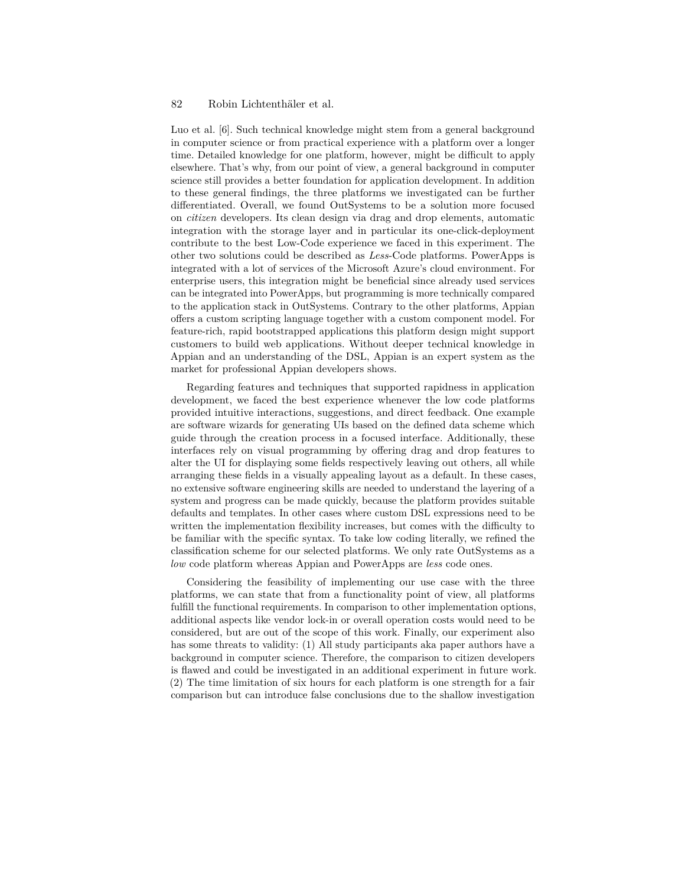#### 82 Robin Lichtenthäler et al.

Luo et al. [6]. Such technical knowledge might stem from a general background in computer science or from practical experience with a platform over a longer time. Detailed knowledge for one platform, however, might be difficult to apply elsewhere. That's why, from our point of view, a general background in computer science still provides a better foundation for application development. In addition to these general findings, the three platforms we investigated can be further differentiated. Overall, we found OutSystems to be a solution more focused on *citizen* developers. Its clean design via drag and drop elements, automatic integration with the storage layer and in particular its one-click-deployment contribute to the best Low-Code experience we faced in this experiment. The other two solutions could be described as *Less*-Code platforms. PowerApps is integrated with a lot of services of the Microsoft Azure's cloud environment. For enterprise users, this integration might be beneficial since already used services can be integrated into PowerApps, but programming is more technically compared to the application stack in OutSystems. Contrary to the other platforms, Appian offers a custom scripting language together with a custom component model. For feature-rich, rapid bootstrapped applications this platform design might support customers to build web applications. Without deeper technical knowledge in Appian and an understanding of the DSL, Appian is an expert system as the market for professional Appian developers shows.

Regarding features and techniques that supported rapidness in application development, we faced the best experience whenever the low code platforms provided intuitive interactions, suggestions, and direct feedback. One example are software wizards for generating UIs based on the defined data scheme which guide through the creation process in a focused interface. Additionally, these interfaces rely on visual programming by offering drag and drop features to alter the UI for displaying some fields respectively leaving out others, all while arranging these fields in a visually appealing layout as a default. In these cases, no extensive software engineering skills are needed to understand the layering of a system and progress can be made quickly, because the platform provides suitable defaults and templates. In other cases where custom DSL expressions need to be written the implementation flexibility increases, but comes with the difficulty to be familiar with the specific syntax. To take low coding literally, we refined the classification scheme for our selected platforms. We only rate OutSystems as a *low* code platform whereas Appian and PowerApps are *less* code ones.

Considering the feasibility of implementing our use case with the three platforms, we can state that from a functionality point of view, all platforms fulfill the functional requirements. In comparison to other implementation options, additional aspects like vendor lock-in or overall operation costs would need to be considered, but are out of the scope of this work. Finally, our experiment also has some threats to validity: (1) All study participants aka paper authors have a background in computer science. Therefore, the comparison to citizen developers is flawed and could be investigated in an additional experiment in future work. (2) The time limitation of six hours for each platform is one strength for a fair comparison but can introduce false conclusions due to the shallow investigation